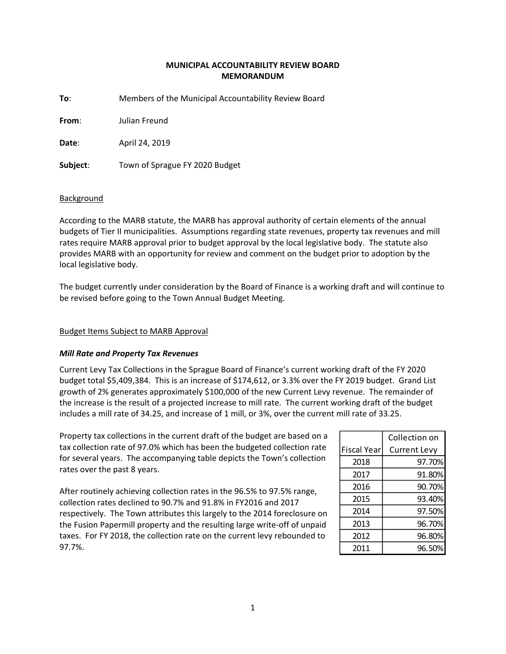# **MUNICIPAL ACCOUNTABILITY REVIEW BOARD MEMORANDUM**

**To**: Members of the Municipal Accountability Review Board

**From**: Julian Freund

**Date**: April 24, 2019

**Subject**: Town of Sprague FY 2020 Budget

## **Background**

According to the MARB statute, the MARB has approval authority of certain elements of the annual budgets of Tier II municipalities. Assumptions regarding state revenues, property tax revenues and mill rates require MARB approval prior to budget approval by the local legislative body. The statute also provides MARB with an opportunity for review and comment on the budget prior to adoption by the local legislative body.

The budget currently under consideration by the Board of Finance is a working draft and will continue to be revised before going to the Town Annual Budget Meeting.

# Budget Items Subject to MARB Approval

# *Mill Rate and Property Tax Revenues*

Current Levy Tax Collections in the Sprague Board of Finance's current working draft of the FY 2020 budget total \$5,409,384. This is an increase of \$174,612, or 3.3% over the FY 2019 budget. Grand List growth of 2% generates approximately \$100,000 of the new Current Levy revenue. The remainder of the increase is the result of a projected increase to mill rate. The current working draft of the budget includes a mill rate of 34.25, and increase of 1 mill, or 3%, over the current mill rate of 33.25.

Property tax collections in the current draft of the budget are based on a tax collection rate of 97.0% which has been the budgeted collection rate for several years. The accompanying table depicts the Town's collection rates over the past 8 years.

After routinely achieving collection rates in the 96.5% to 97.5% range, collection rates declined to 90.7% and 91.8% in FY2016 and 2017 respectively. The Town attributes this largely to the 2014 foreclosure on the Fusion Papermill property and the resulting large write-off of unpaid taxes. For FY 2018, the collection rate on the current levy rebounded to 97.7%.

|                    | Collection on       |
|--------------------|---------------------|
| <b>Fiscal Year</b> | <b>Current Levy</b> |
| 2018               | 97.70%              |
| 2017               | 91.80%              |
| 2016               | 90.70%              |
| 2015               | 93.40%              |
| 2014               | 97.50%              |
| 2013               | 96.70%              |
| 2012               | 96.80%              |
| 2011               | 96.50%              |